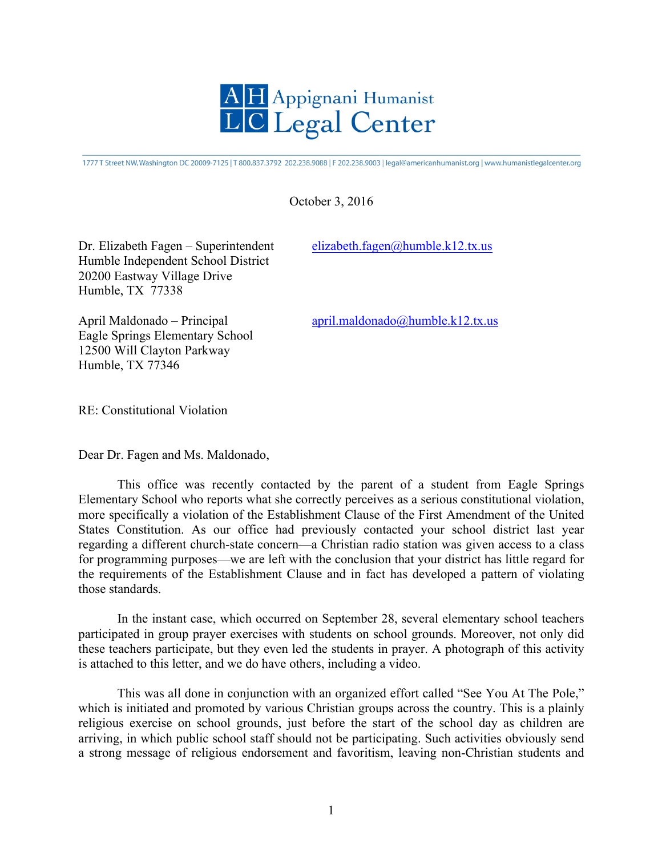

1777 T Street NW, Washington DC 20009-7125 | T 800.837.3792 202.238.9088 | F 202.238.9003 | legal@americanhumanist.org | www.humanistlegalcenter.org

## October 3, 2016

Dr. Elizabeth Fagen – Superintendent elizabeth.fagen@humble.k12.tx.us Humble Independent School District 20200 Eastway Village Drive Humble, TX 77338

April Maldonado – Principal april.maldonado@humble.k12.tx.us Eagle Springs Elementary School 12500 Will Clayton Parkway Humble, TX 77346

RE: Constitutional Violation

Dear Dr. Fagen and Ms. Maldonado,

This office was recently contacted by the parent of a student from Eagle Springs Elementary School who reports what she correctly perceives as a serious constitutional violation, more specifically a violation of the Establishment Clause of the First Amendment of the United States Constitution. As our office had previously contacted your school district last year regarding a different church-state concern—a Christian radio station was given access to a class for programming purposes—we are left with the conclusion that your district has little regard for the requirements of the Establishment Clause and in fact has developed a pattern of violating those standards.

In the instant case, which occurred on September 28, several elementary school teachers participated in group prayer exercises with students on school grounds. Moreover, not only did these teachers participate, but they even led the students in prayer. A photograph of this activity is attached to this letter, and we do have others, including a video.

This was all done in conjunction with an organized effort called "See You At The Pole," which is initiated and promoted by various Christian groups across the country. This is a plainly religious exercise on school grounds, just before the start of the school day as children are arriving, in which public school staff should not be participating. Such activities obviously send a strong message of religious endorsement and favoritism, leaving non-Christian students and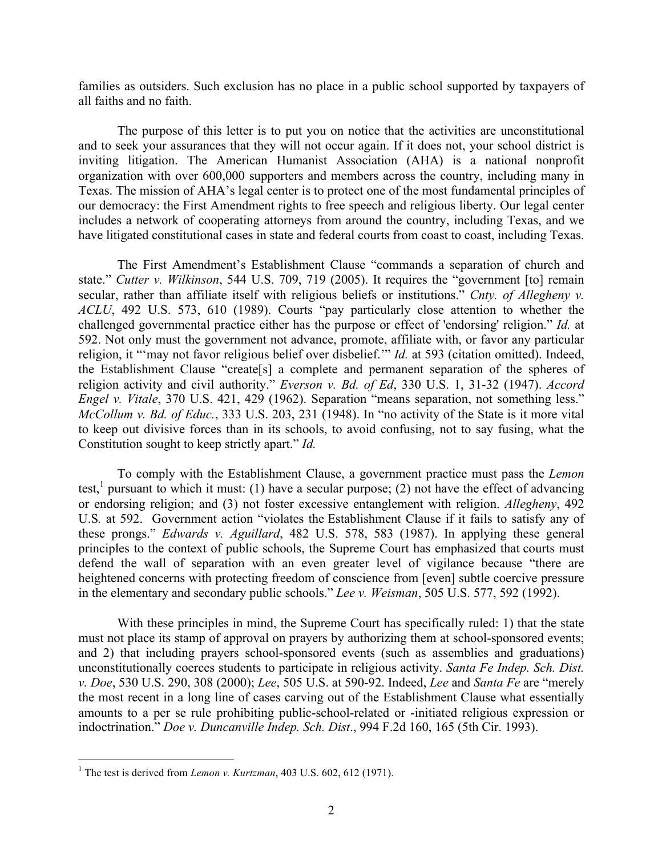families as outsiders. Such exclusion has no place in a public school supported by taxpayers of all faiths and no faith.

The purpose of this letter is to put you on notice that the activities are unconstitutional and to seek your assurances that they will not occur again. If it does not, your school district is inviting litigation. The American Humanist Association (AHA) is a national nonprofit organization with over 600,000 supporters and members across the country, including many in Texas. The mission of AHA's legal center is to protect one of the most fundamental principles of our democracy: the First Amendment rights to free speech and religious liberty. Our legal center includes a network of cooperating attorneys from around the country, including Texas, and we have litigated constitutional cases in state and federal courts from coast to coast, including Texas.

The First Amendment's Establishment Clause "commands a separation of church and state." *Cutter v. Wilkinson*, 544 U.S. 709, 719 (2005). It requires the "government [to] remain secular, rather than affiliate itself with religious beliefs or institutions." *Cnty. of Allegheny v. ACLU*, 492 U.S. 573, 610 (1989). Courts "pay particularly close attention to whether the challenged governmental practice either has the purpose or effect of 'endorsing' religion." *Id.* at 592. Not only must the government not advance, promote, affiliate with, or favor any particular religion, it "'may not favor religious belief over disbelief.'" *Id.* at 593 (citation omitted). Indeed, the Establishment Clause "create[s] a complete and permanent separation of the spheres of religion activity and civil authority." *Everson v. Bd. of Ed*, 330 U.S. 1, 31-32 (1947). *Accord Engel v. Vitale*, 370 U.S. 421, 429 (1962). Separation "means separation, not something less." *McCollum v. Bd. of Educ.*, 333 U.S. 203, 231 (1948). In "no activity of the State is it more vital to keep out divisive forces than in its schools, to avoid confusing, not to say fusing, what the Constitution sought to keep strictly apart." *Id.* 

To comply with the Establishment Clause, a government practice must pass the *Lemon*  test,<sup>1</sup> pursuant to which it must: (1) have a secular purpose; (2) not have the effect of advancing or endorsing religion; and (3) not foster excessive entanglement with religion. *Allegheny*, 492 U.S*.* at 592. Government action "violates the Establishment Clause if it fails to satisfy any of these prongs." *Edwards v. Aguillard*, 482 U.S. 578, 583 (1987). In applying these general principles to the context of public schools, the Supreme Court has emphasized that courts must defend the wall of separation with an even greater level of vigilance because "there are heightened concerns with protecting freedom of conscience from [even] subtle coercive pressure in the elementary and secondary public schools." *Lee v. Weisman*, 505 U.S. 577, 592 (1992).

With these principles in mind, the Supreme Court has specifically ruled: 1) that the state must not place its stamp of approval on prayers by authorizing them at school-sponsored events; and 2) that including prayers school-sponsored events (such as assemblies and graduations) unconstitutionally coerces students to participate in religious activity. *Santa Fe Indep. Sch. Dist. v. Doe*, 530 U.S. 290, 308 (2000); *Lee*, 505 U.S. at 590-92. Indeed, *Lee* and *Santa Fe* are "merely the most recent in a long line of cases carving out of the Establishment Clause what essentially amounts to a per se rule prohibiting public-school-related or -initiated religious expression or indoctrination." *Doe v. Duncanville Indep. Sch. Dist*., 994 F.2d 160, 165 (5th Cir. 1993).

<sup>&</sup>lt;sup>1</sup> The test is derived from *Lemon v. Kurtzman*, 403 U.S. 602, 612 (1971).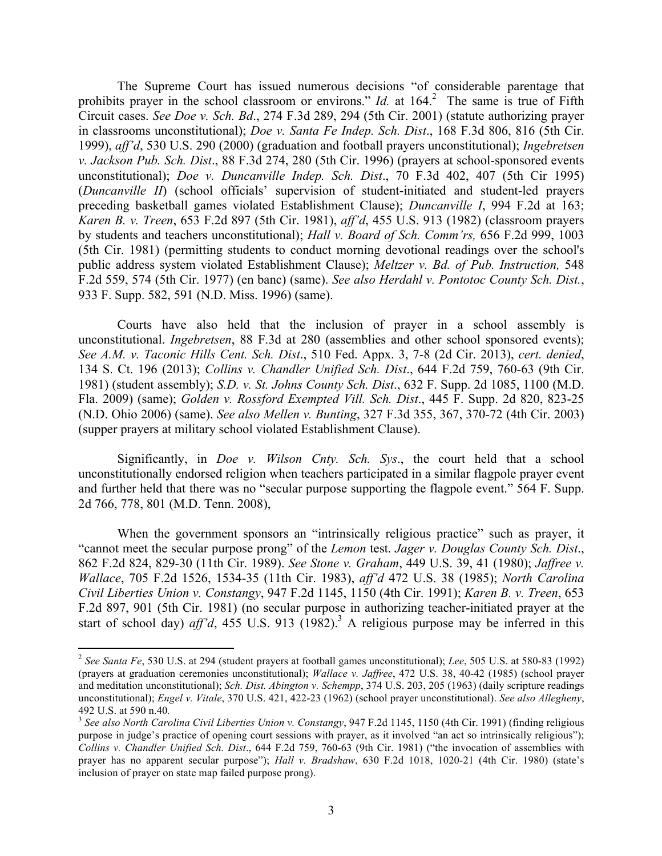The Supreme Court has issued numerous decisions "of considerable parentage that prohibits prayer in the school classroom or environs." *Id.* at 164.<sup>2</sup> The same is true of Fifth Circuit cases. *See Doe v. Sch. Bd*., 274 F.3d 289, 294 (5th Cir. 2001) (statute authorizing prayer in classrooms unconstitutional); *Doe v. Santa Fe Indep. Sch. Dist*., 168 F.3d 806, 816 (5th Cir. 1999), *aff'd*, 530 U.S. 290 (2000) (graduation and football prayers unconstitutional); *Ingebretsen v. Jackson Pub. Sch. Dist*., 88 F.3d 274, 280 (5th Cir. 1996) (prayers at school-sponsored events unconstitutional); *Doe v. Duncanville Indep. Sch. Dist*., 70 F.3d 402, 407 (5th Cir 1995) (*Duncanville II*) (school officials' supervision of student-initiated and student-led prayers preceding basketball games violated Establishment Clause); *Duncanville I*, 994 F.2d at 163; *Karen B. v. Treen*, 653 F.2d 897 (5th Cir. 1981), *aff'd*, 455 U.S. 913 (1982) (classroom prayers by students and teachers unconstitutional); *Hall v. Board of Sch. Comm'rs,* 656 F.2d 999, 1003 (5th Cir. 1981) (permitting students to conduct morning devotional readings over the school's public address system violated Establishment Clause); *Meltzer v. Bd. of Pub. Instruction,* 548 F.2d 559, 574 (5th Cir. 1977) (en banc) (same). *See also Herdahl v. Pontotoc County Sch. Dist.*, 933 F. Supp. 582, 591 (N.D. Miss. 1996) (same).

Courts have also held that the inclusion of prayer in a school assembly is unconstitutional. *Ingebretsen*, 88 F.3d at 280 (assemblies and other school sponsored events); *See A.M. v. Taconic Hills Cent. Sch. Dist*., 510 Fed. Appx. 3, 7-8 (2d Cir. 2013), *cert. denied*, 134 S. Ct. 196 (2013); *Collins v. Chandler Unified Sch. Dist*., 644 F.2d 759, 760-63 (9th Cir. 1981) (student assembly); *S.D. v. St. Johns County Sch. Dist*., 632 F. Supp. 2d 1085, 1100 (M.D. Fla. 2009) (same); *Golden v. Rossford Exempted Vill. Sch. Dist*., 445 F. Supp. 2d 820, 823-25 (N.D. Ohio 2006) (same). *See also Mellen v. Bunting*, 327 F.3d 355, 367, 370-72 (4th Cir. 2003) (supper prayers at military school violated Establishment Clause).

Significantly, in *Doe v. Wilson Cnty. Sch. Sys*., the court held that a school unconstitutionally endorsed religion when teachers participated in a similar flagpole prayer event and further held that there was no "secular purpose supporting the flagpole event." 564 F. Supp. 2d 766, 778, 801 (M.D. Tenn. 2008),

When the government sponsors an "intrinsically religious practice" such as prayer, it "cannot meet the secular purpose prong" of the *Lemon* test. *Jager v. Douglas County Sch. Dist*., 862 F.2d 824, 829-30 (11th Cir. 1989). *See Stone v. Graham*, 449 U.S. 39, 41 (1980); *Jaffree v. Wallace*, 705 F.2d 1526, 1534-35 (11th Cir. 1983), *aff'd* 472 U.S. 38 (1985); *North Carolina Civil Liberties Union v. Constangy*, 947 F.2d 1145, 1150 (4th Cir. 1991); *Karen B. v. Treen*, 653 F.2d 897, 901 (5th Cir. 1981) (no secular purpose in authorizing teacher-initiated prayer at the start of school day)  $aff'd$ ,  $455$  U.S. 913 (1982).<sup>3</sup> A religious purpose may be inferred in this

 <sup>2</sup> *See Santa Fe*, 530 U.S. at 294 (student prayers at football games unconstitutional); *Lee*, 505 U.S. at 580-83 (1992) (prayers at graduation ceremonies unconstitutional); *Wallace v. Jaffree*, 472 U.S. 38, 40-42 (1985) (school prayer and meditation unconstitutional); *Sch. Dist. Abington v. Schempp*, 374 U.S. 203, 205 (1963) (daily scripture readings unconstitutional); *Engel v. Vitale*, 370 U.S. 421, 422-23 (1962) (school prayer unconstitutional). *See also Allegheny*, 492 U.S. at 590 n.40.<br><sup>3</sup> See also North Carolina Civil Liberties Union v. Constangy, 947 F.2d 1145, 1150 (4th Cir. 1991) (finding religious

purpose in judge's practice of opening court sessions with prayer, as it involved "an act so intrinsically religious"); *Collins v. Chandler Unified Sch. Dist*., 644 F.2d 759, 760-63 (9th Cir. 1981) ("the invocation of assemblies with prayer has no apparent secular purpose"); *Hall v. Bradshaw*, 630 F.2d 1018, 1020-21 (4th Cir. 1980) (state's inclusion of prayer on state map failed purpose prong).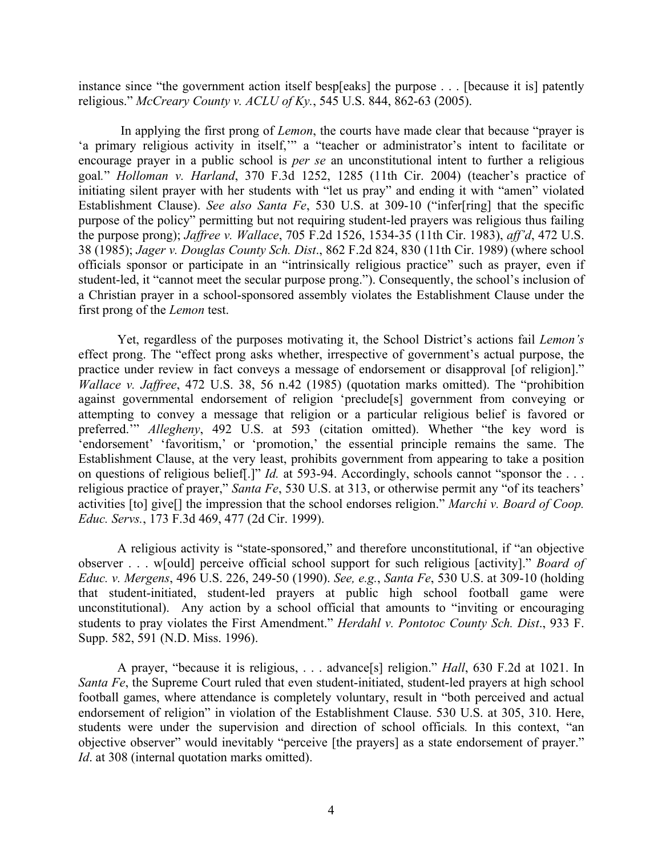instance since "the government action itself besp[eaks] the purpose . . . [because it is] patently religious." *McCreary County v. ACLU of Ky.*, 545 U.S. 844, 862-63 (2005).

In applying the first prong of *Lemon*, the courts have made clear that because "prayer is 'a primary religious activity in itself,'" a "teacher or administrator's intent to facilitate or encourage prayer in a public school is *per se* an unconstitutional intent to further a religious goal*.*" *Holloman v. Harland*, 370 F.3d 1252, 1285 (11th Cir. 2004) (teacher's practice of initiating silent prayer with her students with "let us pray" and ending it with "amen" violated Establishment Clause). *See also Santa Fe*, 530 U.S. at 309-10 ("infer[ring] that the specific purpose of the policy" permitting but not requiring student-led prayers was religious thus failing the purpose prong); *Jaffree v. Wallace*, 705 F.2d 1526, 1534-35 (11th Cir. 1983), *aff'd*, 472 U.S. 38 (1985); *Jager v. Douglas County Sch. Dist*., 862 F.2d 824, 830 (11th Cir. 1989) (where school officials sponsor or participate in an "intrinsically religious practice" such as prayer, even if student-led, it "cannot meet the secular purpose prong."). Consequently, the school's inclusion of a Christian prayer in a school-sponsored assembly violates the Establishment Clause under the first prong of the *Lemon* test.

Yet, regardless of the purposes motivating it, the School District's actions fail *Lemon's* effect prong. The "effect prong asks whether, irrespective of government's actual purpose, the practice under review in fact conveys a message of endorsement or disapproval [of religion]." *Wallace v. Jaffree*, 472 U.S. 38, 56 n.42 (1985) (quotation marks omitted). The "prohibition against governmental endorsement of religion 'preclude[s] government from conveying or attempting to convey a message that religion or a particular religious belief is favored or preferred.'" *Allegheny*, 492 U.S. at 593 (citation omitted). Whether "the key word is 'endorsement' 'favoritism,' or 'promotion,' the essential principle remains the same. The Establishment Clause, at the very least, prohibits government from appearing to take a position on questions of religious belief[.]" *Id.* at 593-94. Accordingly, schools cannot "sponsor the . . . religious practice of prayer," *Santa Fe*, 530 U.S. at 313, or otherwise permit any "of its teachers' activities [to] give[] the impression that the school endorses religion." *Marchi v. Board of Coop. Educ. Servs.*, 173 F.3d 469, 477 (2d Cir. 1999).

A religious activity is "state-sponsored," and therefore unconstitutional, if "an objective observer . . . w[ould] perceive official school support for such religious [activity]." *Board of Educ. v. Mergens*, 496 U.S. 226, 249-50 (1990). *See, e.g.*, *Santa Fe*, 530 U.S. at 309-10 (holding that student-initiated, student-led prayers at public high school football game were unconstitutional). Any action by a school official that amounts to "inviting or encouraging students to pray violates the First Amendment." *Herdahl v. Pontotoc County Sch. Dist*., 933 F. Supp. 582, 591 (N.D. Miss. 1996).

A prayer, "because it is religious, . . . advance[s] religion." *Hall*, 630 F.2d at 1021. In *Santa Fe*, the Supreme Court ruled that even student-initiated, student-led prayers at high school football games, where attendance is completely voluntary, result in "both perceived and actual endorsement of religion" in violation of the Establishment Clause. 530 U.S. at 305, 310. Here, students were under the supervision and direction of school officials*.* In this context, "an objective observer" would inevitably "perceive [the prayers] as a state endorsement of prayer." *Id*. at 308 (internal quotation marks omitted).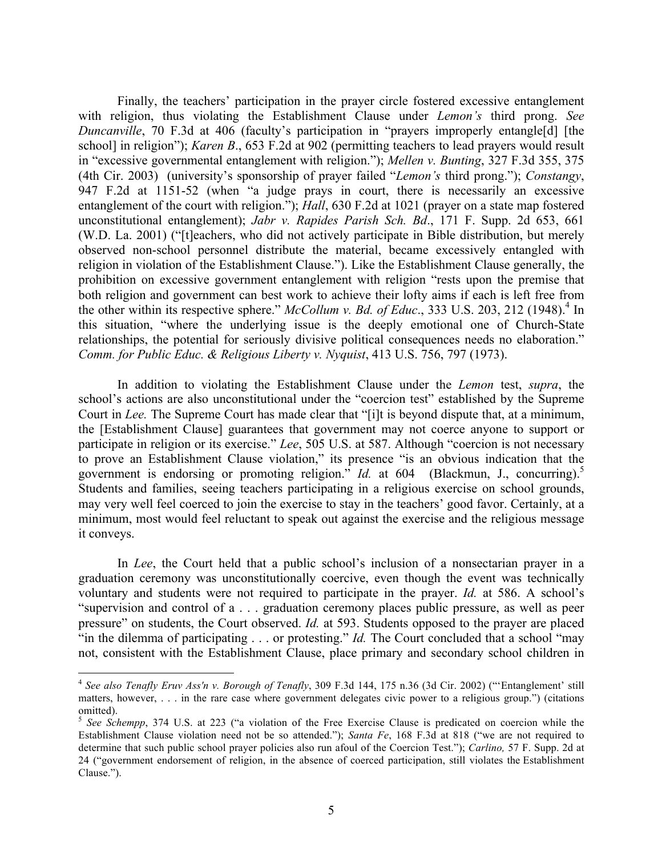Finally, the teachers' participation in the prayer circle fostered excessive entanglement with religion, thus violating the Establishment Clause under *Lemon's* third prong. *See Duncanville*, 70 F.3d at 406 (faculty's participation in "prayers improperly entangle<sup>[d]</sup> [the school] in religion"); *Karen B*., 653 F.2d at 902 (permitting teachers to lead prayers would result in "excessive governmental entanglement with religion."); *Mellen v. Bunting*, 327 F.3d 355, 375 (4th Cir. 2003) (university's sponsorship of prayer failed "*Lemon's* third prong."); *Constangy*, 947 F.2d at 1151-52 (when "a judge prays in court, there is necessarily an excessive entanglement of the court with religion."); *Hall*, 630 F.2d at 1021 (prayer on a state map fostered unconstitutional entanglement); *Jabr v. Rapides Parish Sch. Bd*., 171 F. Supp. 2d 653, 661 (W.D. La. 2001) ("[t]eachers, who did not actively participate in Bible distribution, but merely observed non-school personnel distribute the material, became excessively entangled with religion in violation of the Establishment Clause."). Like the Establishment Clause generally, the prohibition on excessive government entanglement with religion "rests upon the premise that both religion and government can best work to achieve their lofty aims if each is left free from the other within its respective sphere." *McCollum v. Bd. of Educ.*, 333 U.S. 203, 212 (1948).<sup>4</sup> In this situation, "where the underlying issue is the deeply emotional one of Church-State relationships, the potential for seriously divisive political consequences needs no elaboration." *Comm. for Public Educ. & Religious Liberty v. Nyquist*, 413 U.S. 756, 797 (1973).

In addition to violating the Establishment Clause under the *Lemon* test, *supra*, the school's actions are also unconstitutional under the "coercion test" established by the Supreme Court in *Lee.* The Supreme Court has made clear that "[i]t is beyond dispute that, at a minimum, the [Establishment Clause] guarantees that government may not coerce anyone to support or participate in religion or its exercise." *Lee*, 505 U.S. at 587. Although "coercion is not necessary to prove an Establishment Clause violation," its presence "is an obvious indication that the government is endorsing or promoting religion." *Id.* at 604 (Blackmun, J., concurring).<sup>5</sup> Students and families, seeing teachers participating in a religious exercise on school grounds, may very well feel coerced to join the exercise to stay in the teachers' good favor. Certainly, at a minimum, most would feel reluctant to speak out against the exercise and the religious message it conveys.

In *Lee*, the Court held that a public school's inclusion of a nonsectarian prayer in a graduation ceremony was unconstitutionally coercive, even though the event was technically voluntary and students were not required to participate in the prayer. *Id.* at 586. A school's "supervision and control of a . . . graduation ceremony places public pressure, as well as peer pressure" on students, the Court observed. *Id.* at 593. Students opposed to the prayer are placed "in the dilemma of participating . . . or protesting." *Id.* The Court concluded that a school "may not, consistent with the Establishment Clause, place primary and secondary school children in

 <sup>4</sup> *See also Tenafly Eruv Ass'n v. Borough of Tenafly*, 309 F.3d 144, 175 n.36 (3d Cir. 2002) ("'Entanglement' still matters, however, . . . in the rare case where government delegates civic power to a religious group.") (citations omitted).

<sup>5</sup> *See Schempp*, 374 U.S. at 223 ("a violation of the Free Exercise Clause is predicated on coercion while the Establishment Clause violation need not be so attended."); *Santa Fe*, 168 F.3d at 818 ("we are not required to determine that such public school prayer policies also run afoul of the Coercion Test."); *Carlino,* 57 F. Supp. 2d at 24 ("government endorsement of religion, in the absence of coerced participation, still violates the Establishment Clause.").